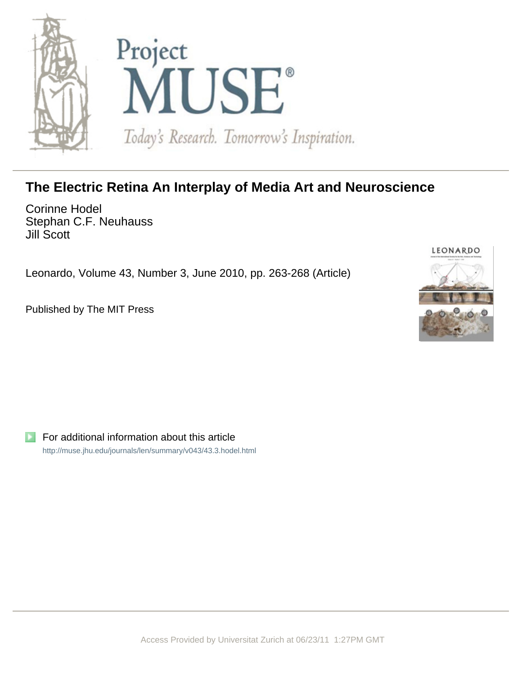

## **The Electric Retina An Interplay of Media Art and Neuroscience**

Corinne Hodel Stephan C.F. Neuhauss Jill Scott

Leonardo, Volume 43, Number 3, June 2010, pp. 263-268 (Article)

Published by The MIT Press



For additional information about this article <http://muse.jhu.edu/journals/len/summary/v043/43.3.hodel.html>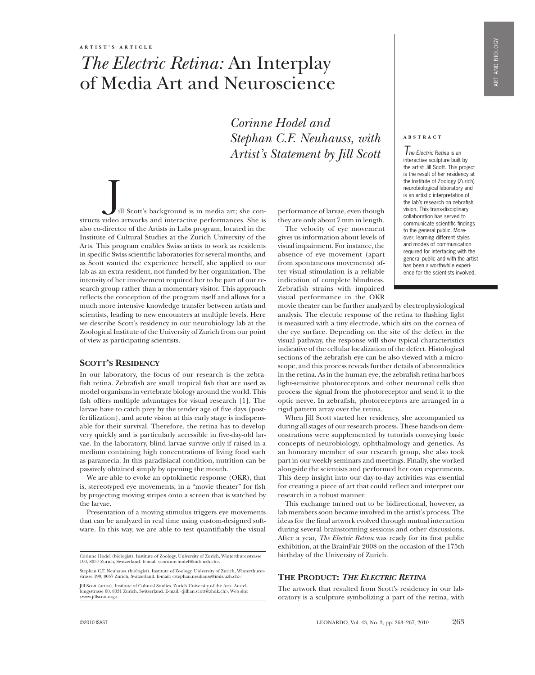# *The Electric Retina:* An Interplay of Media Art and Neuroscience

*Corinne Hodel and Stephan C.F. Neuhauss, with Artist's Statement by Jill Scott*

ill Scott's background is in media art; she constructs video artworks and interactive performances. She is also co-director of the Artists in Labs program, located in the Institute of Cultural Studies at the Zurich University of the Arts. This program enables Swiss artists to work as residents in specific Swiss scientific laboratories for several months, and as Scott wanted the experience herself, she applied to our lab as an extra resident, not funded by her organization. The intensity of her involvement required her to be part of our research group rather than a momentary visitor. This approach reflects the conception of the program itself and allows for a much more intensive knowledge transfer between artists and scientists, leading to new encounters at multiple levels. Here we describe Scott's residency in our neurobiology lab at the Zoological Institute of the University of Zurich from our point of view as participating scientists.

#### **SCOTT'S RESIDENCY**

In our laboratory, the focus of our research is the zebrafish retina. Zebrafish are small tropical fish that are used as model organisms in vertebrate biology around the world. This fish offers multiple advantages for visual research [1]. The larvae have to catch prey by the tender age of five days (postfertilization), and acute vision at this early stage is indispensable for their survival. Therefore, the retina has to develop very quickly and is particularly accessible in five-day-old larvae. In the laboratory, blind larvae survive only if raised in a medium containing high concentrations of living food such as paramecia. In this paradisiacal condition, nutrition can be passively obtained simply by opening the mouth.

We are able to evoke an optokinetic response (OKR), that is, stereotyped eye movements, in a "movie theater" for fish by projecting moving stripes onto a screen that is watched by the larvae.

Presentation of a moving stimulus triggers eye movements that can be analyzed in real time using custom-designed software. In this way, we are able to test quantifiably the visual

Stephan C.F. Neuhauss (biologist), Institute of Zoology, University of Zurich, Winterthurer-strasse 190, 8057 Zurich, Switzerland. E-mail: <stephan.neuhauss@imls.uzh.ch>.

Jill Scott (artist), Institute of Cultural Studies, Zurich University of the Arts, Austellungsstrasse 60, 8031 Zurich, Switzerland. E-mail: <jillian.scott@zhdk.ch>. Web site: <www.jillscott.org>.

performance of larvae, even though they are only about 7 mm in length.

The velocity of eye movement gives us information about levels of visual impairment. For instance, the absence of eye movement (apart from spontaneous movements) after visual stimulation is a reliable indication of complete blindness. Zebrafish strains with impaired visual performance in the OKR

#### **a b s t r a c t**

*The Electric Retina* is an interactive sculpture built by the artist Jill Scott. This project is the result of her residency at the Institute of Zoology (Zurich) neurobiological laboratory and is an artistic interpretation of the lab's research on zebrafish vision. This trans-disciplinary collaboration has served to communicate scientific findings to the general public. Moreover, learning different styles and modes of communication required for interfacing with the general public and with the artist has been a worthwhile experience for the scientists involved.

movie theater can be further analyzed by electrophysiological analysis. The electric response of the retina to flashing light is measured with a tiny electrode, which sits on the cornea of the eye surface. Depending on the site of the defect in the visual pathway, the response will show typical characteristics indicative of the cellular localization of the defect. Histological sections of the zebrafish eye can be also viewed with a microscope, and this process reveals further details of abnormalities in the retina. As in the human eye, the zebrafish retina harbors light-sensitive photoreceptors and other neuronal cells that process the signal from the photoreceptor and send it to the optic nerve. In zebrafish, photoreceptors are arranged in a rigid pattern array over the retina.

When Jill Scott started her residency, she accompanied us during all stages of our research process. These hands-on demonstrations were supplemented by tutorials conveying basic concepts of neurobiology, ophthalmology and genetics. As an honorary member of our research group, she also took part in our weekly seminars and meetings. Finally, she worked alongside the scientists and performed her own experiments. This deep insight into our day-to-day activities was essential for creating a piece of art that could reflect and interpret our research in a robust manner.

This exchange turned out to be bidirectional, however, as lab members soon became involved in the artist's process. The ideas for the final artwork evolved through mutual interaction during several brainstorming sessions and other discussions. After a year, *The Electric Retina* was ready for its first public exhibition, at the BrainFair 2008 on the occasion of the 175th birthday of the University of Zurich.

#### **The Product:** *The Electric Retina*

The artwork that resulted from Scott's residency in our laboratory is a sculpture symbolizing a part of the retina, with

Corinne Hodel (biologist), Institute of Zoology, University of Zurich, Winterthurerstrasse 190, 8057 Zurich, Switzerland. E-mail: <corinne.hodel@imls.uzh.ch>.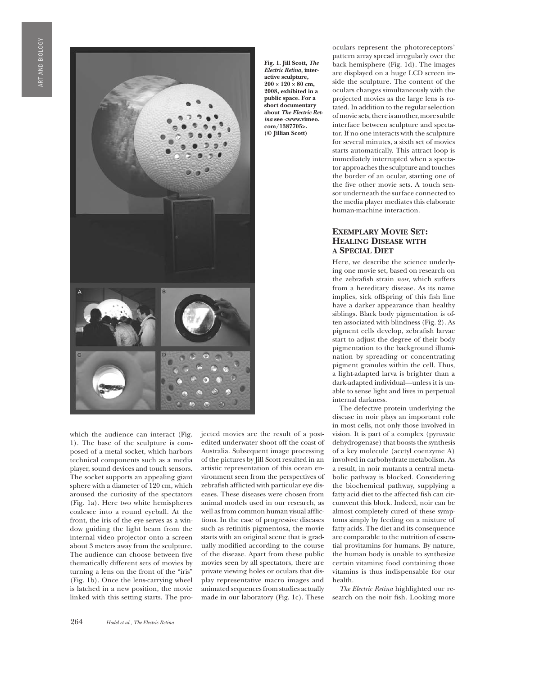

which the audience can interact (Fig. 1). The base of the sculpture is composed of a metal socket, which harbors technical components such as a media player, sound devices and touch sensors. The socket supports an appealing giant sphere with a diameter of 120 cm, which aroused the curiosity of the spectators (Fig. 1a). Here two white hemispheres coalesce into a round eyeball. At the front, the iris of the eye serves as a window guiding the light beam from the internal video projector onto a screen about 3 meters away from the sculpture. The audience can choose between five thematically different sets of movies by turning a lens on the front of the "iris" (Fig. 1b). Once the lens-carrying wheel is latched in a new position, the movie linked with this setting starts. The projected movies are the result of a postedited underwater shoot off the coast of Australia. Subsequent image processing of the pictures by Jill Scott resulted in an artistic representation of this ocean environment seen from the perspectives of zebrafish afflicted with particular eye diseases. These diseases were chosen from animal models used in our research, as well as from common human visual afflictions. In the case of progressive diseases such as retinitis pigmentosa, the movie starts with an original scene that is gradually modified according to the course of the disease. Apart from these public movies seen by all spectators, there are private viewing holes or oculars that display representative macro images and animated sequences from studies actually made in our laboratory (Fig. 1c). These

**Fig. 1. Jill Scott,** *The Electric Retina,* **interactive sculpture,**   $200 \times 120 \times 80$  cm. **2008, exhibited in a public space. For a short documentary about** *The Electric Retina* **see <www.vimeo. com/1387705>. (© Jillian Scott)**

oculars represent the photoreceptors' pattern array spread irregularly over the back hemisphere (Fig. 1d). The images are displayed on a huge LCD screen inside the sculpture. The content of the oculars changes simultaneously with the projected movies as the large lens is rotated. In addition to the regular selection of movie sets, there is another, more subtle interface between sculpture and spectator. If no one interacts with the sculpture for several minutes, a sixth set of movies starts automatically. This attract loop is immediately interrupted when a spectator approaches the sculpture and touches the border of an ocular, starting one of the five other movie sets. A touch sensor underneath the surface connected to the media player mediates this elaborate human-machine interaction.

### **Exemplary Movie Set: Healing Disease with a Special Diet**

Here, we describe the science underlying one movie set, based on research on the zebrafish strain *noir*, which suffers from a hereditary disease. As its name implies, sick offspring of this fish line have a darker appearance than healthy siblings. Black body pigmentation is often associated with blindness (Fig. 2). As pigment cells develop, zebrafish larvae start to adjust the degree of their body pigmentation to the background illumination by spreading or concentrating pigment granules within the cell. Thus, a light-adapted larva is brighter than a dark-adapted individual—unless it is unable to sense light and lives in perpetual internal darkness.

The defective protein underlying the disease in noir plays an important role in most cells, not only those involved in vision. It is part of a complex (pyruvate dehydrogenase) that boosts the synthesis of a key molecule (acetyl coenzyme A) involved in carbohydrate metabolism. As a result, in noir mutants a central metabolic pathway is blocked. Considering the biochemical pathway, supplying a fatty acid diet to the affected fish can circumvent this block. Indeed, noir can be almost completely cured of these symptoms simply by feeding on a mixture of fatty acids. The diet and its consequence are comparable to the nutrition of essential provitamins for humans. By nature, the human body is unable to synthesize certain vitamins; food containing those vitamins is thus indispensable for our health.

*The Electric Retina* highlighted our research on the noir fish. Looking more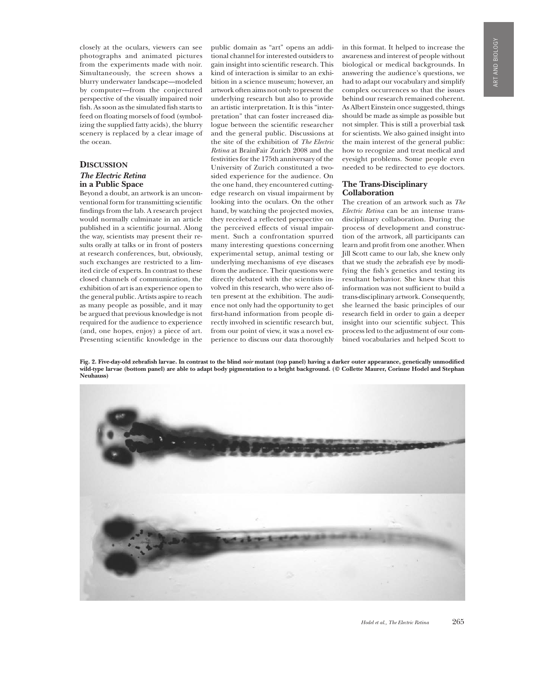closely at the oculars, viewers can see photographs and animated pictures from the experiments made with noir. Simultaneously, the screen shows a blurry underwater landscape—modeled by computer—from the conjectured perspective of the visually impaired noir fish. As soon as the simulated fish starts to feed on floating morsels of food (symbolizing the supplied fatty acids), the blurry scenery is replaced by a clear image of the ocean.

### **Discussion**

#### *The Electric Retina* **in a Public Space**

Beyond a doubt, an artwork is an unconventional form for transmitting scientific findings from the lab. A research project would normally culminate in an article published in a scientific journal. Along the way, scientists may present their results orally at talks or in front of posters at research conferences, but, obviously, such exchanges are restricted to a limited circle of experts. In contrast to these closed channels of communication, the exhibition of art is an experience open to the general public. Artists aspire to reach as many people as possible, and it may be argued that previous knowledge is not required for the audience to experience (and, one hopes, enjoy) a piece of art. Presenting scientific knowledge in the

public domain as "art" opens an additional channel for interested outsiders to gain insight into scientific research. This kind of interaction is similar to an exhibition in a science museum; however, an artwork often aims not only to present the underlying research but also to provide an artistic interpretation. It is this "interpretation" that can foster increased dialogue between the scientific researcher and the general public. Discussions at the site of the exhibition of *The Electric Retina* at BrainFair Zurich 2008 and the festivities for the 175th anniversary of the University of Zurich constituted a twosided experience for the audience. On the one hand, they encountered cuttingedge research on visual impairment by looking into the oculars. On the other hand, by watching the projected movies, they received a reflected perspective on the perceived effects of visual impairment. Such a confrontation spurred many interesting questions concerning experimental setup, animal testing or underlying mechanisms of eye diseases from the audience. Their questions were directly debated with the scientists involved in this research, who were also often present at the exhibition. The audience not only had the opportunity to get first-hand information from people directly involved in scientific research but, from our point of view, it was a novel experience to discuss our data thoroughly

in this format. It helped to increase the awareness and interest of people without biological or medical backgrounds. In answering the audience's questions, we had to adapt our vocabulary and simplify complex occurrences so that the issues behind our research remained coherent. As Albert Einstein once suggested, things should be made as simple as possible but not simpler. This is still a proverbial task for scientists. We also gained insight into the main interest of the general public: how to recognize and treat medical and eyesight problems. Some people even needed to be redirected to eye doctors.

### **The Trans-Disciplinary Collaboration**

The creation of an artwork such as *The Electric Retina* can be an intense transdisciplinary collaboration. During the process of development and construction of the artwork, all participants can learn and profit from one another. When Jill Scott came to our lab, she knew only that we study the zebrafish eye by modifying the fish's genetics and testing its resultant behavior. She knew that this information was not sufficient to build a trans-disciplinary artwork. Consequently, she learned the basic principles of our research field in order to gain a deeper insight into our scientific subject. This process led to the adjustment of our combined vocabularies and helped Scott to

**Fig. 2. Five-day-old zebrafish larvae. In contrast to the blind** *noir* **mutant (top panel) having a darker outer appearance, genetically unmodified wild-type larvae (bottom panel) are able to adapt body pigmentation to a bright background. (© Collette Maurer, Corinne Hodel and Stephan Neuhauss)**

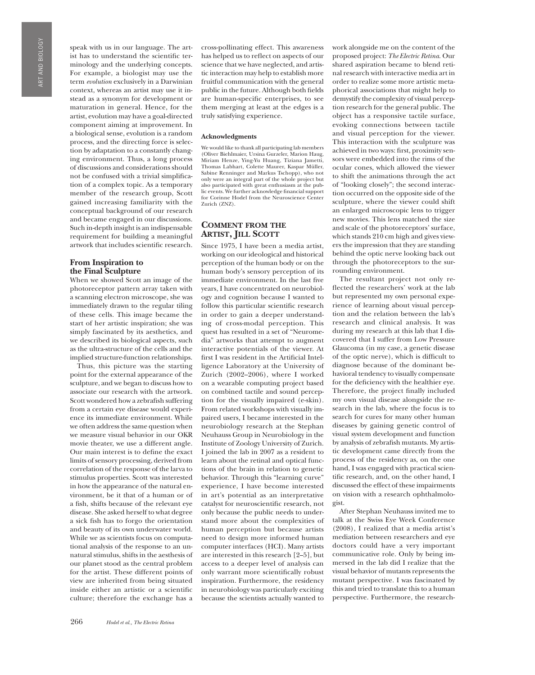Art and Biology **IRT AND BIOLOGY** 

speak with us in our language. The artist has to understand the scientific terminology and the underlying concepts. For example, a biologist may use the term *evolution* exclusively in a Darwinian context, whereas an artist may use it instead as a synonym for development or maturation in general. Hence, for the artist, evolution may have a goal-directed component aiming at improvement. In a biological sense, evolution is a random process, and the directing force is selection by adaptation to a constantly changing environment. Thus, a long process of discussions and considerations should not be confused with a trivial simplification of a complex topic. As a temporary member of the research group, Scott gained increasing familiarity with the conceptual background of our research and became engaged in our discussions. Such in-depth insight is an indispensable requirement for building a meaningful artwork that includes scientific research.

#### **From Inspiration to the Final Sculpture**

When we showed Scott an image of the photoreceptor pattern array taken with a scanning electron microscope, she was immediately drawn to the regular tiling of these cells. This image became the start of her artistic inspiration; she was simply fascinated by its aesthetics, and we described its biological aspects, such as the ultra-structure of the cells and the implied structure-function relationships.

Thus, this picture was the starting point for the external appearance of the sculpture, and we began to discuss how to associate our research with the artwork. Scott wondered how a zebrafish suffering from a certain eye disease would experience its immediate environment. While we often address the same question when we measure visual behavior in our OKR movie theater, we use a different angle. Our main interest is to define the exact limits of sensory processing, derived from correlation of the response of the larva to stimulus properties. Scott was interested in how the appearance of the natural environment, be it that of a human or of a fish, shifts because of the relevant eye disease. She asked herself to what degree a sick fish has to forgo the orientation and beauty of its own underwater world. While we as scientists focus on computational analysis of the response to an unnatural stimulus, shifts in the aesthesis of our planet stood as the central problem for the artist. These different points of view are inherited from being situated inside either an artistic or a scientific culture; therefore the exchange has a

cross-pollinating effect. This awareness has helped us to reflect on aspects of our science that we have neglected, and artistic interaction may help to establish more fruitful communication with the general public in the future. Although both fields are human-specific enterprises, to see them merging at least at the edges is a truly satisfying experience.

#### **Acknowledgments**

We would like to thank all participating lab members (Oliver Biehlmaier, Ursina Gurzeler, Marion Haug, Miriam Henze, Ying-Yu Huang, Tiziana Jametti, Thomas Labhart, Colette Maurer, Kaspar Müller, Sabine Renninger and Markus Tschopp), who not only were an integral part of the whole project but also participated with great enthusiasm at the public events. We further acknowledge financial support for Corinne Hodel from the Neuroscience Center Zurich (ZNZ).

### **Comment from the Artist, Jill Scott**

Since 1975, I have been a media artist, working on our ideological and historical perception of the human body or on the human body's sensory perception of its immediate environment. In the last five years, I have concentrated on neurobiology and cognition because I wanted to follow this particular scientific research in order to gain a deeper understanding of cross-modal perception. This quest has resulted in a set of "Neuromedia" artworks that attempt to augment interactive potentials of the viewer. At first I was resident in the Artificial Intelligence Laboratory at the University of Zurich (2002–2006), where I worked on a wearable computing project based on combined tactile and sound perception for the visually impaired (e-skin). From related workshops with visually impaired users, I became interested in the neurobiology research at the Stephan Neuhauss Group in Neurobiology in the Institute of Zoology University of Zurich. I joined the lab in 2007 as a resident to learn about the retinal and optical functions of the brain in relation to genetic behavior. Through this "learning curve" experience, I have become interested in art's potential as an interpretative catalyst for neuroscientific research, not only because the public needs to understand more about the complexities of human perception but because artists need to design more informed human computer interfaces (HCI). Many artists are interested in this research [2–5], but access to a deeper level of analysis can only warrant more scientifically robust inspiration. Furthermore, the residency in neurobiology was particularly exciting because the scientists actually wanted to

work alongside me on the content of the proposed project: *The Electric Retina*. Our shared aspiration became to blend retinal research with interactive media art in order to realize some more artistic metaphorical associations that might help to demystify the complexity of visual perception research for the general public. The object has a responsive tactile surface, evoking connections between tactile and visual perception for the viewer. This interaction with the sculpture was achieved in two ways: first, proximity sensors were embedded into the rims of the ocular cones, which allowed the viewer to shift the animations through the act of "looking closely"; the second interaction occurred on the opposite side of the sculpture, where the viewer could shift an enlarged microscopic lens to trigger new movies. This lens matched the size and scale of the photoreceptors' surface, which stands 210 cm high and gives viewers the impression that they are standing behind the optic nerve looking back out through the photoreceptors to the surrounding environment.

The resultant project not only reflected the researchers' work at the lab but represented my own personal experience of learning about visual perception and the relation between the lab's research and clinical analysis. It was during my research at this lab that I discovered that I suffer from Low Pressure Glaucoma (in my case, a genetic disease of the optic nerve), which is difficult to diagnose because of the dominant behavioral tendency to visually compensate for the deficiency with the healthier eye. Therefore, the project finally included my own visual disease alongside the research in the lab, where the focus is to search for cures for many other human diseases by gaining genetic control of visual system development and function by analysis of zebrafish mutants. My artistic development came directly from the process of the residency as, on the one hand, I was engaged with practical scientific research, and, on the other hand, I discussed the effect of these impairments on vision with a research ophthalmologist.

After Stephan Neuhauss invited me to talk at the Swiss Eye Week Conference (2008), I realized that a media artist's mediation between researchers and eye doctors could have a very important communicative role. Only by being immersed in the lab did I realize that the visual behavior of mutants represents the mutant perspective. I was fascinated by this and tried to translate this to a human perspective. Furthermore, the research-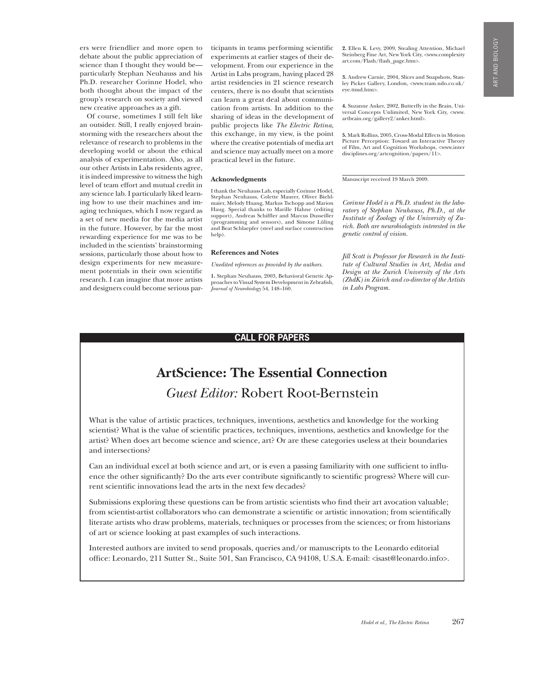ers were friendlier and more open to debate about the public appreciation of science than I thought they would be particularly Stephan Neuhauss and his Ph.D. researcher Corinne Hodel, who both thought about the impact of the group's research on society and viewed new creative approaches as a gift.

Of course, sometimes I still felt like an outsider. Still, I really enjoyed brainstorming with the researchers about the relevance of research to problems in the developing world or about the ethical analysis of experimentation. Also, as all our other Artists in Labs residents agree, it is indeed impressive to witness the high level of team effort and mutual credit in any science lab. I particularly liked learning how to use their machines and imaging techniques, which I now regard as a set of new media for the media artist in the future. However, by far the most rewarding experience for me was to be included in the scientists' brainstorming sessions, particularly those about how to design experiments for new measurement potentials in their own scientific research. I can imagine that more artists and designers could become serious participants in teams performing scientific experiments at earlier stages of their development. From our experience in the Artist in Labs program, having placed 28 artist residencies in 21 science research centers, there is no doubt that scientists can learn a great deal about communication from artists. In addition to the sharing of ideas in the development of public projects like *The Electric Retina*, this exchange, in my view, is the point where the creative potentials of media art and science may actually meet on a more practical level in the future.

#### **Acknowledgments**

I thank the Neuhauss Lab, especially Corinne Hodel, Stephan Neuhauss, Colette Maurer, Oliver Biehlmaier, Melody Huang, Markus Tschopp and Marion Haug. Special thanks to Marille Hahne (editing support), Andreas Schiffler and Marcus Dusseiller (programming and sensors), and Simone Lüling and Beat Schlaepfer (steel and surface construction help).

#### **References and Notes**

*Unedited references as provided by the authors.*

**1.** Stephan Neuhauss, 2003, Behavioral Genetic Approaches to Visual System Development in Zebrafish, *Journal of Neurobiology* 54, 148–160.

**2.** Ellen K. Levy, 2009, Stealing Attention, Michael Steinberg Fine Art, New York City, <www.complexity art.com/Flash/flash\_page.htm>.

**3.** Andrew Carnie, 2004, Slices and Snapshots, Stanley Picker Gallery, London, <www.tram.ndo.co.uk/ eye.ttmd.htm>.

**4.** Suzanne Anker, 2002, Butterfly in the Brain, Universal Concepts Unlimited, New York City, <www. artbrain.org/gallery2/anker.html>.

**5.** Mark Rollins, 2005, Cross-Modal Effects in Motion Picture Perception: Toward an Interactive Theory of Film, Art and Cognition Workshops, <www.inter disciplines.org/artcognition/papers/11>.

Manuscript received 19 March 2009.

*Corinne Hodel is a Ph.D. student in the laboratory of Stephan Neuhauss, Ph.D., at the Institute of Zoology of the University of Zurich. Both are neurobiologists interested in the genetic control of vision.*

*Jill Scott is Professor for Research in the Institute of Cultural Studies in Art, Media and Design at the Zurich University of the Arts (ZhdK) in Zürich and co-director of the Artists in Labs Program.*

#### **Call for Papers**

## **ArtScience: The Essential Connection** *Guest Editor:* Robert Root-Bernstein

What is the value of artistic practices, techniques, inventions, aesthetics and knowledge for the working scientist? What is the value of scientific practices, techniques, inventions, aesthetics and knowledge for the artist? When does art become science and science, art? Or are these categories useless at their boundaries and intersections?

Can an individual excel at both science and art, or is even a passing familiarity with one sufficient to influence the other significantly? Do the arts ever contribute significantly to scientific progress? Where will current scientific innovations lead the arts in the next few decades?

Submissions exploring these questions can be from artistic scientists who find their art avocation valuable; from scientist-artist collaborators who can demonstrate a scientific or artistic innovation; from scientifically literate artists who draw problems, materials, techniques or processes from the sciences; or from historians of art or science looking at past examples of such interactions.

Interested authors are invited to send proposals, queries and/or manuscripts to the Leonardo editorial office: Leonardo, 211 Sutter St., Suite 501, San Francisco, CA 94108, U.S.A. E-mail: <isast@leonardo.info>.